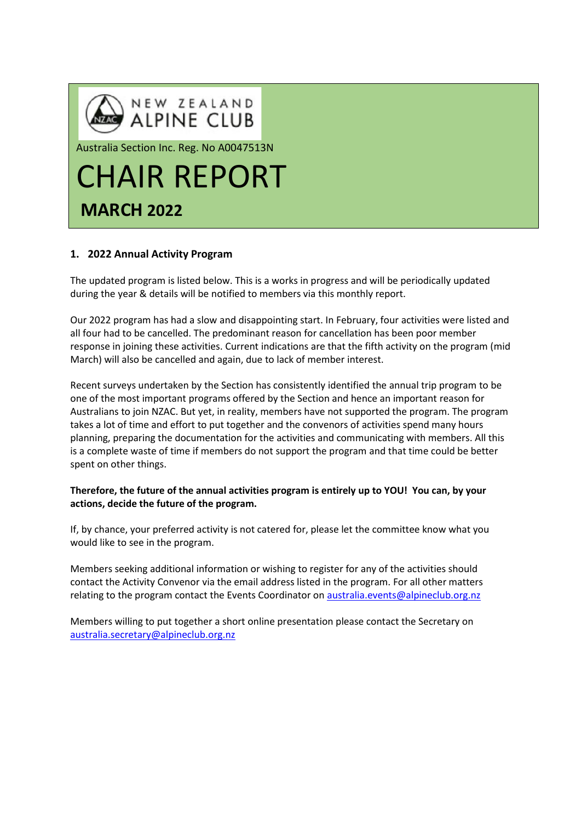

# **1. 2022 Annual Activity Program**

The updated program is listed below. This is a works in progress and will be periodically updated during the year & details will be notified to members via this monthly report.

Our 2022 program has had a slow and disappointing start. In February, four activities were listed and all four had to be cancelled. The predominant reason for cancellation has been poor member response in joining these activities. Current indications are that the fifth activity on the program (mid March) will also be cancelled and again, due to lack of member interest.

Recent surveys undertaken by the Section has consistently identified the annual trip program to be one of the most important programs offered by the Section and hence an important reason for Australians to join NZAC. But yet, in reality, members have not supported the program. The program takes a lot of time and effort to put together and the convenors of activities spend many hours planning, preparing the documentation for the activities and communicating with members. All this is a complete waste of time if members do not support the program and that time could be better spent on other things.

## **Therefore, the future of the annual activities program is entirely up to YOU! You can, by your actions, decide the future of the program.**

If, by chance, your preferred activity is not catered for, please let the committee know what you would like to see in the program.

Members seeking additional information or wishing to register for any of the activities should contact the Activity Convenor via the email address listed in the program. For all other matters relating to the program contact the Events Coordinator on [australia.events@alpineclub.org.nz](mailto:australia.events@alpineclub.org.nz)

Members willing to put together a short online presentation please contact the Secretary on [australia.secretary@alpineclub.org.nz](mailto:australia.secretary@alpineclub.org.nz)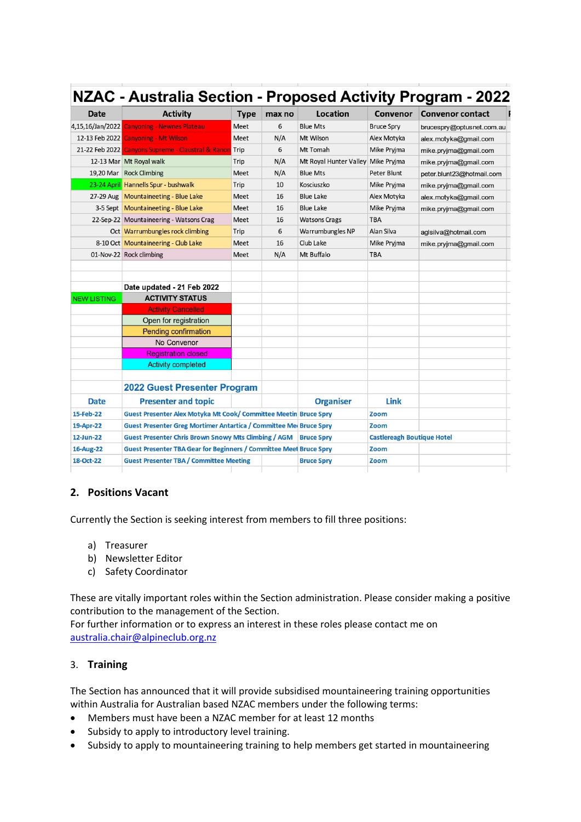| <b>Date</b>        | <b>Activity</b>                                                                  | <b>Type</b> | max no | Location                           | Convenor                          | <b>Convenor contact</b>   |
|--------------------|----------------------------------------------------------------------------------|-------------|--------|------------------------------------|-----------------------------------|---------------------------|
|                    | 4,15,16/Jan/2022 Canyoning - Newnes Plateau                                      | Meet        | 6      | <b>Blue Mts</b>                    | <b>Bruce Spry</b>                 | brucespry@optusnet.com.au |
|                    | 12-13 Feb 2022 Canyoning - Mt Wilson                                             | Meet        | N/A    | Mt Wilson                          | Alex Motyka                       | alex.motyka@gmail.com     |
|                    | 21-22 Feb 2022 Canyons Supreme - Claustral & Ranon Trip                          |             | 6      | Mt Tomah                           | Mike Pryjma                       | mike.pryjma@gmail.com     |
|                    | 12-13 Mar Mt Royal walk                                                          | Trip        | N/A    | Mt Royal Hunter Valley Mike Pryjma |                                   | mike.pryjma@gmail.com     |
|                    | 19,20 Mar Rock Climbing                                                          | Meet        | N/A    | <b>Blue Mts</b>                    | Peter Blunt                       | peter.blunt23@hotmail.com |
|                    | 23-24 April Hannells Spur - bushwalk                                             | Trip        | 10     | Kosciuszko                         | Mike Pryjma                       | mike.pryjma@gmail.com     |
|                    | 27-29 Aug Mountaineeting - Blue Lake                                             | Meet        | 16     | <b>Blue Lake</b>                   | Alex Motyka                       | alex.motyka@gmail.com     |
|                    | 3-5 Sept Mountaineeting - Blue Lake                                              | Meet        | 16     | <b>Blue Lake</b>                   | Mike Pryjma                       | mike.pryjma@gmail.com     |
|                    | 22-Sep-22 Mountaineering - Watsons Crag                                          | Meet        | 16     | <b>Watsons Crags</b>               | <b>TBA</b>                        |                           |
|                    | Oct Warrumbungles rock climbing                                                  | Trip        | 6      | Warrumbungles NP                   | Alan Silva                        | aglsilva@hotmail.com      |
|                    | 8-10 Oct Mountaineering - Club Lake                                              | Meet        | 16     | Club Lake                          | Mike Pryjma                       | mike.pryjma@gmail.com     |
|                    | 01-Nov-22 Rock climbing                                                          | Meet        | N/A    | Mt Buffalo                         | <b>TBA</b>                        |                           |
|                    |                                                                                  |             |        |                                    |                                   |                           |
|                    |                                                                                  |             |        |                                    |                                   |                           |
|                    | Date updated - 21 Feb 2022                                                       |             |        |                                    |                                   |                           |
| <b>NEW LISTING</b> | <b>ACTIVITY STATUS</b>                                                           |             |        |                                    |                                   |                           |
|                    | <b>Activity Cancelled</b>                                                        |             |        |                                    |                                   |                           |
|                    | Open for registration                                                            |             |        |                                    |                                   |                           |
|                    | <b>Pending confirmation</b>                                                      |             |        |                                    |                                   |                           |
|                    | No Convenor                                                                      |             |        |                                    |                                   |                           |
|                    | <b>Registration closed</b>                                                       |             |        |                                    |                                   |                           |
|                    | <b>Activity completed</b>                                                        |             |        |                                    |                                   |                           |
|                    |                                                                                  |             |        |                                    |                                   |                           |
|                    | <b>2022 Guest Presenter Program</b>                                              |             |        |                                    |                                   |                           |
| <b>Date</b>        | <b>Presenter and topic</b>                                                       |             |        | <b>Organiser</b>                   | Link                              |                           |
| 15-Feb-22          | Guest Presenter Alex Motyka Mt Cook/ Committee Meetin Bruce Spry                 |             |        |                                    | Zoom                              |                           |
| 19-Apr-22          | <b>Guest Presenter Greg Mortimer Antartica / Committee Me Bruce Spry</b>         |             |        |                                    | Zoom                              |                           |
| 12-Jun-22          | <b>Guest Presenter Chris Brown Snowy Mts Climbing / AGM</b><br><b>Bruce Spry</b> |             |        |                                    | <b>Castlereagh Boutique Hotel</b> |                           |
| 16-Aug-22          | <b>Guest Presenter TBA Gear for Beginners / Committee Meet Bruce Spry</b>        |             |        |                                    | Zoom                              |                           |
| 18-Oct-22          | <b>Guest Presenter TBA / Committee Meeting</b>                                   |             |        | <b>Bruce Spry</b>                  | Zoom                              |                           |

## **2. Positions Vacant**

Currently the Section is seeking interest from members to fill three positions:

- a) Treasurer
- b) Newsletter Editor
- c) Safety Coordinator

These are vitally important roles within the Section administration. Please consider making a positive contribution to the management of the Section.

For further information or to express an interest in these roles please contact me on [australia.chair@alpineclub.org.nz](mailto:australia.chair@alpineclub.org.nz)

## 3. **Training**

The Section has announced that it will provide subsidised mountaineering training opportunities within Australia for Australian based NZAC members under the following terms:

- Members must have been a NZAC member for at least 12 months
- Subsidy to apply to introductory level training.
- Subsidy to apply to mountaineering training to help members get started in mountaineering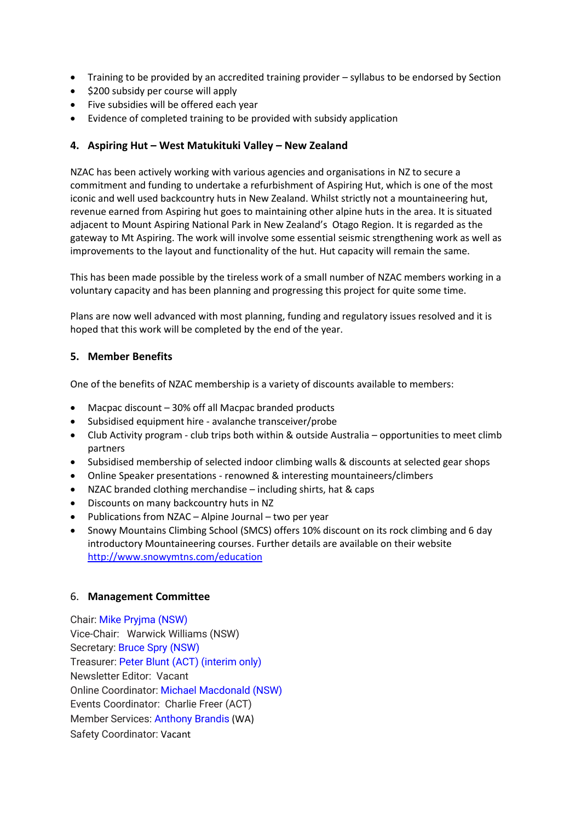- Training to be provided by an accredited training provider syllabus to be endorsed by Section
- \$200 subsidy per course will apply
- Five subsidies will be offered each year
- Evidence of completed training to be provided with subsidy application

#### **4. Aspiring Hut – West Matukituki Valley – New Zealand**

NZAC has been actively working with various agencies and organisations in NZ to secure a commitment and funding to undertake a refurbishment of Aspiring Hut, which is one of the most iconic and well used backcountry huts in New Zealand. Whilst strictly not a mountaineering hut, revenue earned from Aspiring hut goes to maintaining other alpine huts in the area. It is situated adjacent to Mount Aspiring National Park in New Zealand's Otago Region. It is regarded as the gateway to Mt Aspiring. The work will involve some essential seismic strengthening work as well as improvements to the layout and functionality of the hut. Hut capacity will remain the same.

This has been made possible by the tireless work of a small number of NZAC members working in a voluntary capacity and has been planning and progressing this project for quite some time.

Plans are now well advanced with most planning, funding and regulatory issues resolved and it is hoped that this work will be completed by the end of the year.

#### **5. Member Benefits**

One of the benefits of NZAC membership is a variety of discounts available to members:

- Macpac discount 30% off all Macpac branded products
- Subsidised equipment hire avalanche transceiver/probe
- Club Activity program club trips both within & outside Australia opportunities to meet climb partners
- Subsidised membership of selected indoor climbing walls & discounts at selected gear shops
- Online Speaker presentations renowned & interesting mountaineers/climbers
- NZAC branded clothing merchandise including shirts, hat & caps
- Discounts on many backcountry huts in NZ
- Publications from NZAC Alpine Journal two per year
- Snowy Mountains Climbing School (SMCS) offers 10% discount on its rock climbing and 6 day introductory Mountaineering courses. Further details are available on their website <http://www.snowymtns.com/education>

#### 6. **Management Committee**

Chair: Mike [Pryjma](mailto:australia.chair@alpineclub.org.nz) (NSW) Vice-Chair: Warwick Williams (NSW) Secretary: Bruce Spry [\(NSW\)](mailto:australia.secretary@alpineclub.org.nz) Treasurer: Peter Blunt [\(ACT\)](mailto:australia.treasurer@alpineclub.org.nz) (interim only) Newsletter Editor: Vacant Online Coordinator: Michael [Macdonald](mailto:australia.online@alpineclub.org.nz) (NSW) Events Coordinator: Charlie Freer (ACT) Member Services: [Anthony](https://alpineclub.org.nz/region/australia/wa.events@alpineclub.org.nz) Brandis (WA) Safety Coordinator: Vacant